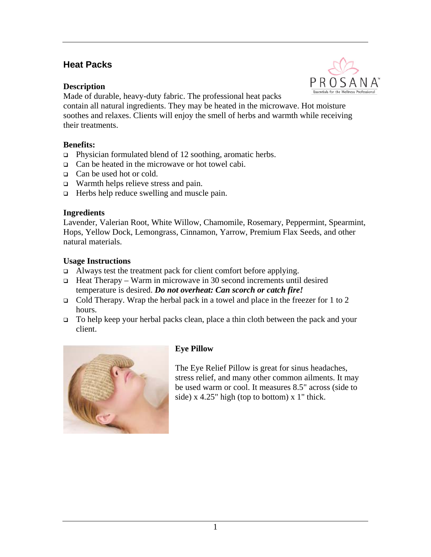## **Heat Packs**

#### **Description**



Made of durable, heavy-duty fabric. The professional heat packs

contain all natural ingredients. They may be heated in the microwave. Hot moisture soothes and relaxes. Clients will enjoy the smell of herbs and warmth while receiving their treatments.

## **Benefits:**

- $\Box$  Physician formulated blend of 12 soothing, aromatic herbs.
- $\Box$  Can be heated in the microwave or hot towel cabi.
- □ Can be used hot or cold.
- Warmth helps relieve stress and pain.
- $\Box$  Herbs help reduce swelling and muscle pain.

#### **Ingredients**

Lavender, Valerian Root, White Willow, Chamomile, Rosemary, Peppermint, Spearmint, Hops, Yellow Dock, Lemongrass, Cinnamon, Yarrow, Premium Flax Seeds, and other natural materials.

## **Usage Instructions**

- $\Box$  Always test the treatment pack for client comfort before applying.
- Heat Therapy Warm in microwave in 30 second increments until desired temperature is desired. *Do not overheat: Can scorch or catch fire!*
- Cold Therapy. Wrap the herbal pack in a towel and place in the freezer for 1 to 2 hours.
- To help keep your herbal packs clean, place a thin cloth between the pack and your client.



## **Eye Pillow**

The Eye Relief Pillow is great for sinus headaches, stress relief, and many other common ailments. It may be used warm or cool. It measures 8.5" across (side to side) x 4.25" high (top to bottom) x 1" thick.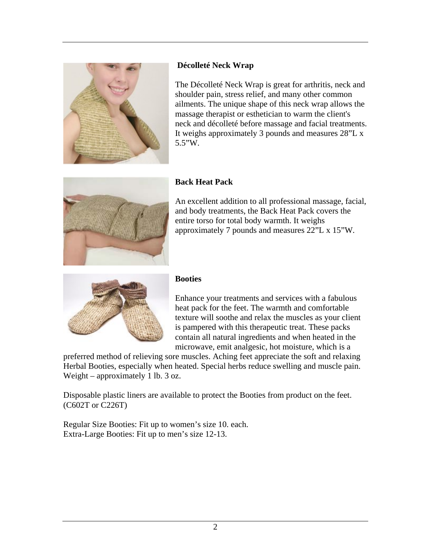

## **Décolleté Neck Wrap**

The Décolleté Neck Wrap is great for arthritis, neck and shoulder pain, stress relief, and many other common ailments. The unique shape of this neck wrap allows the massage therapist or esthetician to warm the client's neck and décolleté before massage and facial treatments. It weighs approximately 3 pounds and measures 28"L x 5.5"W.



## **Back Heat Pack**

An excellent addition to all professional massage, facial, and body treatments, the Back Heat Pack covers the entire torso for total body warmth. It weighs approximately 7 pounds and measures 22"L x 15"W.



#### **Booties**

Enhance your treatments and services with a fabulous heat pack for the feet. The warmth and comfortable texture will soothe and relax the muscles as your client is pampered with this therapeutic treat. These packs contain all natural ingredients and when heated in the microwave, emit analgesic, hot moisture, which is a

preferred method of relieving sore muscles. Aching feet appreciate the soft and relaxing Herbal Booties, especially when heated. Special herbs reduce swelling and muscle pain. Weight – approximately 1 lb. 3 oz.

Disposable plastic liners are available to protect the Booties from product on the feet. (C602T or C226T)

Regular Size Booties: Fit up to women's size 10. each. Extra-Large Booties: Fit up to men's size 12-13.